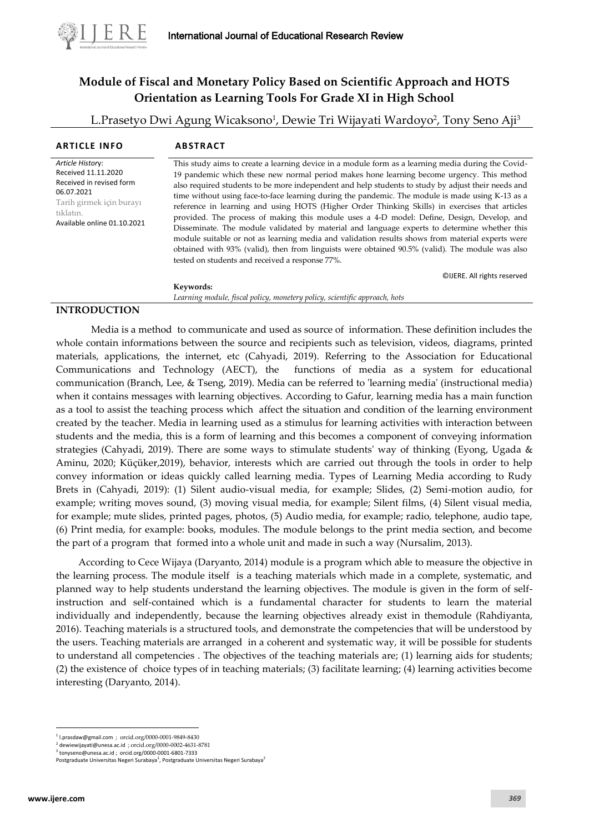

# **Module of Fiscal and Monetary Policy Based on Scientific Approach and HOTS Orientation as Learning Tools For Grade XI in High School**

L.Prasetyo Dwi Agung Wicaksono<sup>1</sup>, Dewie Tri Wijayati Wardoyo<sup>2</sup>, Tony Seno Aji<sup>3</sup>

| <b>ARTICLE INFO</b>                                                                                                                                       | <b>ABSTRACT</b>                                                                                                                                                                                                                                                                                                                                                                                                                                                                                                                                                                                                                                                                                                                                                                                                                                                                                                                                                     |
|-----------------------------------------------------------------------------------------------------------------------------------------------------------|---------------------------------------------------------------------------------------------------------------------------------------------------------------------------------------------------------------------------------------------------------------------------------------------------------------------------------------------------------------------------------------------------------------------------------------------------------------------------------------------------------------------------------------------------------------------------------------------------------------------------------------------------------------------------------------------------------------------------------------------------------------------------------------------------------------------------------------------------------------------------------------------------------------------------------------------------------------------|
| Article History:<br>Received 11.11.2020<br>Received in revised form<br>06.07.2021<br>Tarih girmek için burayı<br>tıklatın.<br>Available online 01.10.2021 | This study aims to create a learning device in a module form as a learning media during the Covid-<br>19 pandemic which these new normal period makes hone learning become urgency. This method<br>also required students to be more independent and help students to study by adjust their needs and<br>time without using face-to-face learning during the pandemic. The module is made using K-13 as a<br>reference in learning and using HOTS (Higher Order Thinking Skills) in exercises that articles<br>provided. The process of making this module uses a 4-D model: Define, Design, Develop, and<br>Disseminate. The module validated by material and language experts to determine whether this<br>module suitable or not as learning media and validation results shows from material experts were<br>obtained with 93% (valid), then from linguists were obtained 90.5% (valid). The module was also<br>tested on students and received a response 77%. |
|                                                                                                                                                           | ©IJERE. All rights reserved<br>Keywords:                                                                                                                                                                                                                                                                                                                                                                                                                                                                                                                                                                                                                                                                                                                                                                                                                                                                                                                            |

*Learning module, fiscal policy, monetery policy, scientific approach, hots*

## **INTRODUCTION**

Media is a method to communicate and used as source of information. These definition includes the whole contain informations between the source and recipients such as television, videos, diagrams, printed materials, applications, the internet, etc (Cahyadi, 2019). Referring to the Association for Educational Communications and Technology (AECT), the functions of media as a system for educational communication (Branch, Lee, & Tseng, 2019). Media can be referred to 'learning media' (instructional media) when it contains messages with learning objectives. According to Gafur, learning media has a main function as a tool to assist the teaching process which affect the situation and condition of the learning environment created by the teacher. Media in learning used as a stimulus for learning activities with interaction between students and the media, this is a form of learning and this becomes a component of conveying information strategies (Cahyadi, 2019). There are some ways to stimulate students' way of thinking (Eyong, Ugada & Aminu, 2020; Küçüker,2019), behavior, interests which are carried out through the tools in order to help convey information or ideas quickly called learning media. Types of Learning Media according to Rudy Brets in (Cahyadi, 2019): (1) Silent audio-visual media, for example; Slides, (2) Semi-motion audio, for example; writing moves sound, (3) moving visual media, for example; Silent films, (4) Silent visual media, for example; mute slides, printed pages, photos, (5) Audio media, for example; radio, telephone, audio tape, (6) Print media, for example: books, modules. The module belongs to the print media section, and become the part of a program that formed into a whole unit and made in such a way (Nursalim, 2013).

According to Cece Wijaya (Daryanto, 2014) module is a program which able to measure the objective in the learning process. The module itself is a teaching materials which made in a complete, systematic, and planned way to help students understand the learning objectives. The module is given in the form of selfinstruction and self-contained which is a fundamental character for students to learn the material individually and independently, because the learning objectives already exist in themodule (Rahdiyanta, 2016). Teaching materials is a structured tools, and demonstrate the competencies that will be understood by the users. Teaching materials are arranged in a coherent and systematic way, it will be possible for students to understand all competencies . The objectives of the teaching materials are; (1) learning aids for students; (2) the existence of choice types of in teaching materials; (3) facilitate learning; (4) learning activities become interesting (Daryanto, 2014).

<sup>1</sup> [l.prasdaw@gmail.com](mailto:l.prasdaw@gmail.com) ; [orcid.org/0000-0001-9849-8430](http://orcid.org/0000-0001-9849-8430)

<sup>2</sup> [dewiewijayati@unesa.ac.id](mailto:dewiewijayati@unesa.ac.id) ; [orcid.org/0000-0002-4631-8781](https://orcid.org/0000-0002-4631-8781) 3

[tonyseno@unesa.ac.id](mailto:tonyseno@unesa.ac.id) ; [orcid.org/0000-0001-6801-7333](https://orcid.org/0000-0001-6801-7333) Postgraduate Universitas Negeri Surabaya<sup>1</sup>, Postgraduate Universitas Negeri Surabaya<sup>2</sup>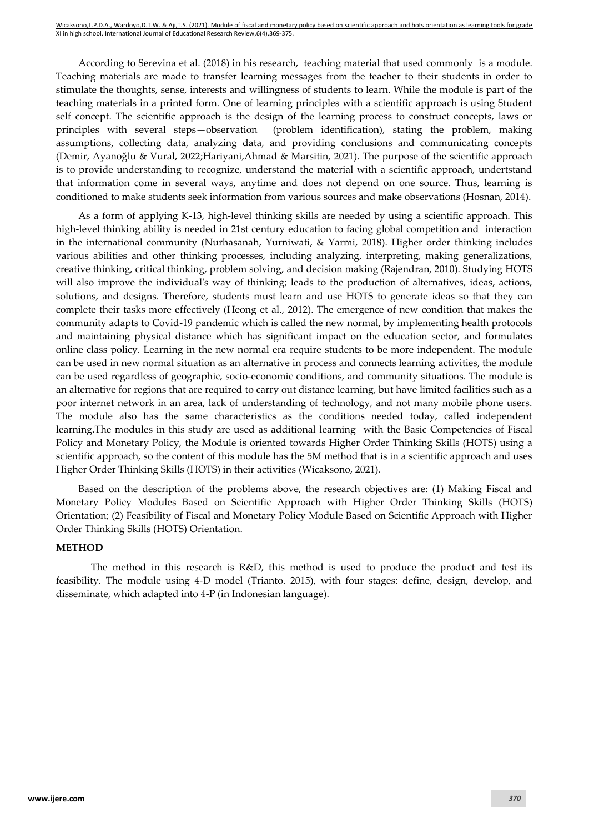According to Serevina et al. (2018) in his research, teaching material that used commonly is a module. Teaching materials are made to transfer learning messages from the teacher to their students in order to stimulate the thoughts, sense, interests and willingness of students to learn. While the module is part of the teaching materials in a printed form. One of learning principles with a scientific approach is using Student self concept. The scientific approach is the design of the learning process to construct concepts, laws or principles with several steps—observation (problem identification), stating the problem, making assumptions, collecting data, analyzing data, and providing conclusions and communicating concepts (Demir, Ayanoğlu & Vural, 2022;Hariyani,Ahmad & Marsitin, 2021). The purpose of the scientific approach is to provide understanding to recognize, understand the material with a scientific approach, undertstand that information come in several ways, anytime and does not depend on one source. Thus, learning is conditioned to make students seek information from various sources and make observations (Hosnan, 2014).

As a form of applying K-13, high-level thinking skills are needed by using a scientific approach. This high-level thinking ability is needed in 21st century education to facing global competition and interaction in the international community (Nurhasanah, Yurniwati, & Yarmi, 2018). Higher order thinking includes various abilities and other thinking processes, including analyzing, interpreting, making generalizations, creative thinking, critical thinking, problem solving, and decision making (Rajendran, 2010). Studying HOTS will also improve the individual's way of thinking; leads to the production of alternatives, ideas, actions, solutions, and designs. Therefore, students must learn and use HOTS to generate ideas so that they can complete their tasks more effectively (Heong et al., 2012). The emergence of new condition that makes the community adapts to Covid-19 pandemic which is called the new normal, by implementing health protocols and maintaining physical distance which has significant impact on the education sector, and formulates online class policy. Learning in the new normal era require students to be more independent. The module can be used in new normal situation as an alternative in process and connects learning activities, the module can be used regardless of geographic, socio-economic conditions, and community situations. The module is an alternative for regions that are required to carry out distance learning, but have limited facilities such as a poor internet network in an area, lack of understanding of technology, and not many mobile phone users. The module also has the same characteristics as the conditions needed today, called independent learning.The modules in this study are used as additional learning with the Basic Competencies of Fiscal Policy and Monetary Policy, the Module is oriented towards Higher Order Thinking Skills (HOTS) using a scientific approach, so the content of this module has the 5M method that is in a scientific approach and uses Higher Order Thinking Skills (HOTS) in their activities (Wicaksono, 2021).

Based on the description of the problems above, the research objectives are: (1) Making Fiscal and Monetary Policy Modules Based on Scientific Approach with Higher Order Thinking Skills (HOTS) Orientation; (2) Feasibility of Fiscal and Monetary Policy Module Based on Scientific Approach with Higher Order Thinking Skills (HOTS) Orientation.

#### **METHOD**

The method in this research is R&D, this method is used to produce the product and test its feasibility. The module using 4-D model (Trianto. 2015), with four stages: define, design, develop, and disseminate, which adapted into 4-P (in Indonesian language).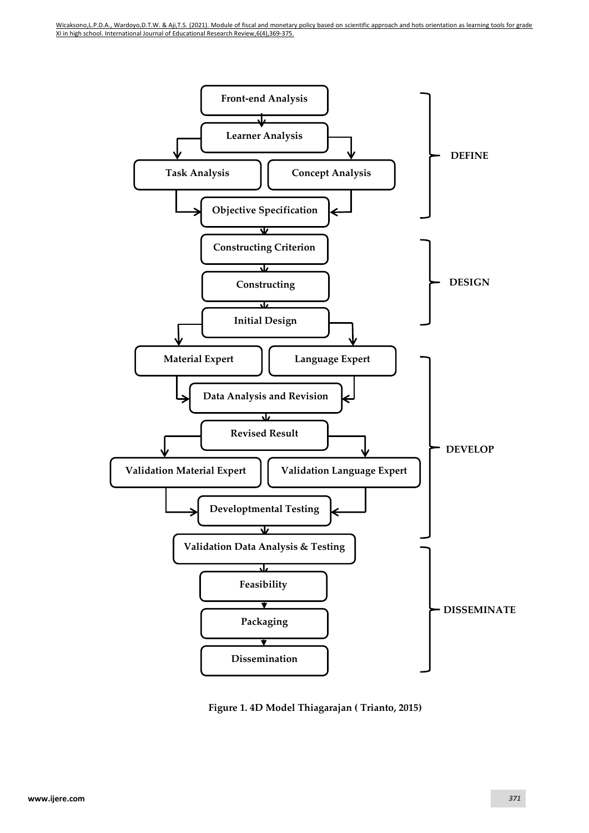

**Figure 1. 4D Model Thiagarajan ( Trianto, 2015)**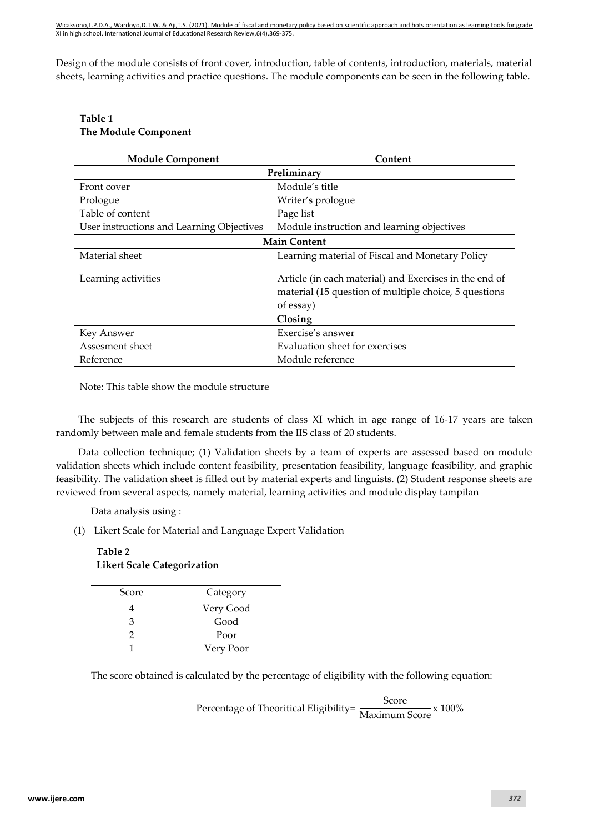Wicaksono,L.P.D.A., Wardoyo,D.T.W. & Aji,T.S. (2021). Module of fiscal and monetary policy based on scientific approach and hots orientation as learning tools for grade XI in high school. International Journal of Educational Research Review,6(4),369-375.

Design of the module consists of front cover, introduction, table of contents, introduction, materials, material sheets, learning activities and practice questions. The module components can be seen in the following table.

## **Table 1 The Module Component**

| <b>Module Component</b>                   | Content                                                                                                                      |  |  |  |
|-------------------------------------------|------------------------------------------------------------------------------------------------------------------------------|--|--|--|
| Preliminary                               |                                                                                                                              |  |  |  |
| Front cover                               | Module's title                                                                                                               |  |  |  |
| Prologue                                  | Writer's prologue                                                                                                            |  |  |  |
| Table of content                          | Page list                                                                                                                    |  |  |  |
| User instructions and Learning Objectives | Module instruction and learning objectives                                                                                   |  |  |  |
| <b>Main Content</b>                       |                                                                                                                              |  |  |  |
| Material sheet                            | Learning material of Fiscal and Monetary Policy                                                                              |  |  |  |
| Learning activities                       | Article (in each material) and Exercises in the end of<br>material (15 question of multiple choice, 5 questions<br>of essay) |  |  |  |
| Closing                                   |                                                                                                                              |  |  |  |
| Key Answer                                | Exercise's answer                                                                                                            |  |  |  |
| Assesment sheet                           | Evaluation sheet for exercises                                                                                               |  |  |  |
| Reference                                 | Module reference                                                                                                             |  |  |  |

Note: This table show the module structure

The subjects of this research are students of class XI which in age range of 16-17 years are taken randomly between male and female students from the IIS class of 20 students.

Data collection technique; (1) Validation sheets by a team of experts are assessed based on module validation sheets which include content feasibility, presentation feasibility, language feasibility, and graphic feasibility. The validation sheet is filled out by material experts and linguists. (2) Student response sheets are reviewed from several aspects, namely material, learning activities and module display tampilan

Data analysis using :

(1) Likert Scale for Material and Language Expert Validation

# **Table 2 Likert Scale Categorization**

| Score | Category  |
|-------|-----------|
|       | Very Good |
| З     | Good      |
| 2     | Poor      |
|       | Very Poor |

The score obtained is calculated by the percentage of eligibility with the following equation:

Percentage of Theoritical Eligibility=  $\frac{\text{Score}}{\text{Maximum Score}}$  x 100%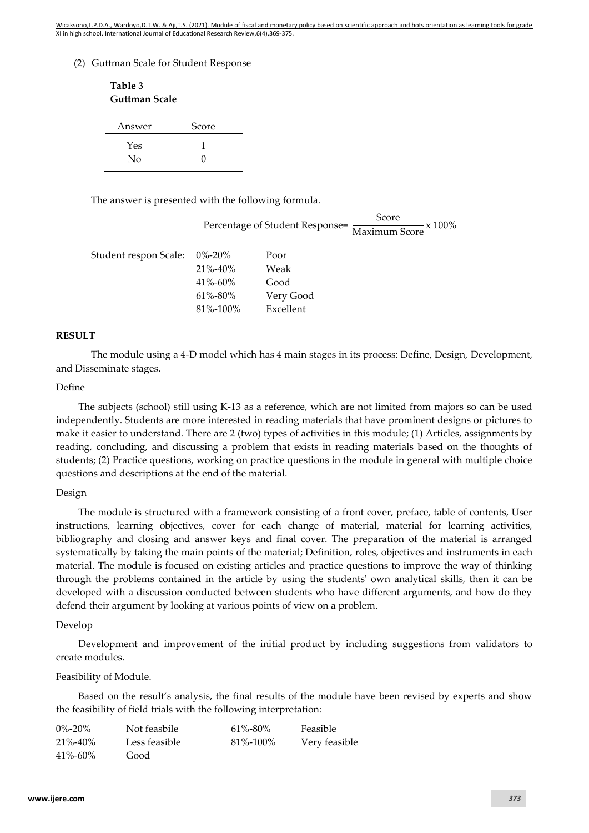Wicaksono,L.P.D.A., Wardoyo,D.T.W. & Aji,T.S. (2021). Module of fiscal and monetary policy based on scientific approach and hots orientation as learning tools for grade XI in high school. International Journal of Educational Research Review,6(4),369-375.

(2) Guttman Scale for Student Response

| Table 3<br>Guttman Scale |        |  |
|--------------------------|--------|--|
| Answer                   | Score  |  |
| Yes<br>Nο                | 1<br>0 |  |

The answer is presented with the following formula.

Percentage of Student Response=  $\frac{\text{Score}}{\text{Maximum Score}}$  x 100%

| Student respon Scale: 0%-20% |               | Poor      |
|------------------------------|---------------|-----------|
|                              | $21\% - 40\%$ | Weak      |
|                              | $41\% - 60\%$ | Good      |
|                              | 61%-80%       | Very Good |
|                              | 81%-100%      | Excellent |

#### **RESULT**

The module using a 4-D model which has 4 main stages in its process: Define, Design, Development, and Disseminate stages.

#### Define

The subjects (school) still using K-13 as a reference, which are not limited from majors so can be used independently. Students are more interested in reading materials that have prominent designs or pictures to make it easier to understand. There are 2 (two) types of activities in this module; (1) Articles, assignments by reading, concluding, and discussing a problem that exists in reading materials based on the thoughts of students; (2) Practice questions, working on practice questions in the module in general with multiple choice questions and descriptions at the end of the material.

#### Design

The module is structured with a framework consisting of a front cover, preface, table of contents, User instructions, learning objectives, cover for each change of material, material for learning activities, bibliography and closing and answer keys and final cover. The preparation of the material is arranged systematically by taking the main points of the material; Definition, roles, objectives and instruments in each material. The module is focused on existing articles and practice questions to improve the way of thinking through the problems contained in the article by using the students' own analytical skills, then it can be developed with a discussion conducted between students who have different arguments, and how do they defend their argument by looking at various points of view on a problem.

#### Develop

Development and improvement of the initial product by including suggestions from validators to create modules.

#### Feasibility of Module.

Based on the result's analysis, the final results of the module have been revised by experts and show the feasibility of field trials with the following interpretation:

| $0\% - 20\%$  | Not feasbile  | $61\% - 80\%$ | Feasible      |
|---------------|---------------|---------------|---------------|
| $21\% - 40\%$ | Less feasible | 81%-100%      | Very feasible |
| $41\% - 60\%$ | Good          |               |               |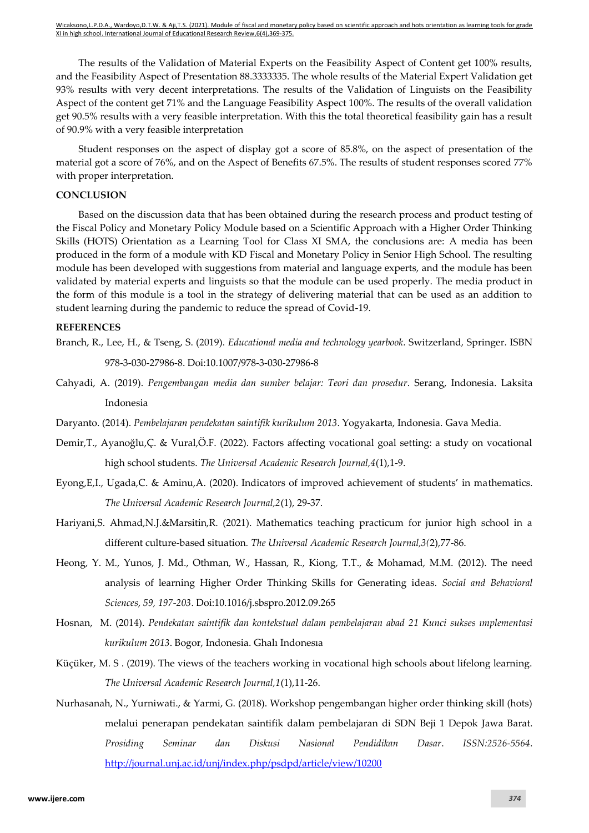The results of the Validation of Material Experts on the Feasibility Aspect of Content get 100% results, and the Feasibility Aspect of Presentation 88.3333335. The whole results of the Material Expert Validation get 93% results with very decent interpretations. The results of the Validation of Linguists on the Feasibility Aspect of the content get 71% and the Language Feasibility Aspect 100%. The results of the overall validation get 90.5% results with a very feasible interpretation. With this the total theoretical feasibility gain has a result of 90.9% with a very feasible interpretation

Student responses on the aspect of display got a score of 85.8%, on the aspect of presentation of the material got a score of 76%, and on the Aspect of Benefits 67.5%. The results of student responses scored 77% with proper interpretation.

### **CONCLUSION**

Based on the discussion data that has been obtained during the research process and product testing of the Fiscal Policy and Monetary Policy Module based on a Scientific Approach with a Higher Order Thinking Skills (HOTS) Orientation as a Learning Tool for Class XI SMA, the conclusions are: A media has been produced in the form of a module with KD Fiscal and Monetary Policy in Senior High School. The resulting module has been developed with suggestions from material and language experts, and the module has been validated by material experts and linguists so that the module can be used properly. The media product in the form of this module is a tool in the strategy of delivering material that can be used as an addition to student learning during the pandemic to reduce the spread of Covid-19.

#### **REFERENCES**

- Branch, R., Lee, H., & Tseng, S. (2019). *Educational media and technology yearbook.* Switzerland*,* Springer*.* ISBN 978-3-030-27986-8. Doi:10.1007/978-3-030-27986-8
- Cahyadi, A. (2019). *Pengembangan media dan sumber belajar: Teori dan prosedur*. Serang, Indonesia. Laksita Indonesia
- Daryanto. (2014). *Pembelajaran pendekatan saintifik kurikulum 2013*. Yogyakarta, Indonesia. Gava Media.
- Demir,T., Ayanoğlu,Ç. & Vural,Ö.F. (2022). Factors affecting vocational goal setting: a study on vocational high school students. *The Universal Academic Research Journal,4*(1),1-9.
- Eyong,E,I., Ugada,C. & Aminu,A. (2020). Indicators of improved achievement of students' in mathematics. *The Universal Academic Research Journal,2*(1), 29-37.
- Hariyani,S. Ahmad,N.J.&Marsitin,R. (2021). Mathematics teaching practicum for junior high school in a different culture-based situation*. The Universal Academic Research Journal,3(*2),77-86.
- Heong, Y. M., Yunos, J. Md., Othman, W., Hassan, R., Kiong, T.T., & Mohamad, M.M. (2012). The need analysis of learning Higher Order Thinking Skills for Generating ideas*. Social and Behavioral Sciences*, *59, 197-203*. Doi:10.1016/j.sbspro.2012.09.265
- Hosnan, M. (2014). *Pendekatan saintifik dan kontekstual dalam pembelajaran abad 21 Kunci sukses implementasi kurikulum 2013*. Bogor, Indonesia. Ghalı Indonesıa
- Küçüker, M. S . (2019). The views of the teachers working in vocational high schools about lifelong learning. *The Universal Academic Research Journal,1*(1),11-26.
- Nurhasanah, N., Yurniwati., & Yarmi, G. (2018). Workshop pengembangan higher order thinking skill (hots) melalui penerapan pendekatan saintifik dalam pembelajaran di SDN Beji 1 Depok Jawa Barat. *Prosiding Seminar dan Diskusi Nasional Pendidikan Dasar*. *ISSN:2526-5564*. <http://journal.unj.ac.id/unj/index.php/psdpd/article/view/10200>